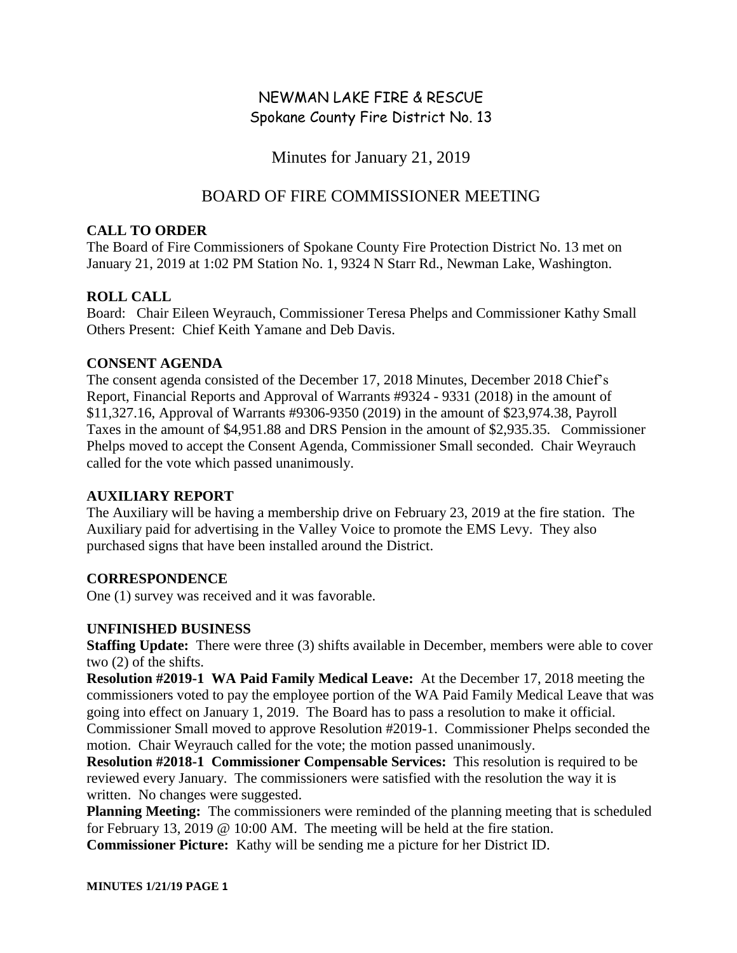# NEWMAN LAKE FIRE & RESCUE Spokane County Fire District No. 13

Minutes for January 21, 2019

## BOARD OF FIRE COMMISSIONER MEETING

### **CALL TO ORDER**

The Board of Fire Commissioners of Spokane County Fire Protection District No. 13 met on January 21, 2019 at 1:02 PM Station No. 1, 9324 N Starr Rd., Newman Lake, Washington.

## **ROLL CALL**

Board: Chair Eileen Weyrauch, Commissioner Teresa Phelps and Commissioner Kathy Small Others Present: Chief Keith Yamane and Deb Davis.

#### **CONSENT AGENDA**

The consent agenda consisted of the December 17, 2018 Minutes, December 2018 Chief's Report, Financial Reports and Approval of Warrants #9324 - 9331 (2018) in the amount of \$11,327.16, Approval of Warrants #9306-9350 (2019) in the amount of \$23,974.38, Payroll Taxes in the amount of \$4,951.88 and DRS Pension in the amount of \$2,935.35. Commissioner Phelps moved to accept the Consent Agenda, Commissioner Small seconded. Chair Weyrauch called for the vote which passed unanimously.

## **AUXILIARY REPORT**

The Auxiliary will be having a membership drive on February 23, 2019 at the fire station. The Auxiliary paid for advertising in the Valley Voice to promote the EMS Levy. They also purchased signs that have been installed around the District.

## **CORRESPONDENCE**

One (1) survey was received and it was favorable.

## **UNFINISHED BUSINESS**

**Staffing Update:** There were three (3) shifts available in December, members were able to cover two (2) of the shifts.

**Resolution #2019-1 WA Paid Family Medical Leave:** At the December 17, 2018 meeting the commissioners voted to pay the employee portion of the WA Paid Family Medical Leave that was going into effect on January 1, 2019. The Board has to pass a resolution to make it official. Commissioner Small moved to approve Resolution #2019-1. Commissioner Phelps seconded the motion. Chair Weyrauch called for the vote; the motion passed unanimously.

**Resolution #2018-1 Commissioner Compensable Services:** This resolution is required to be reviewed every January. The commissioners were satisfied with the resolution the way it is written. No changes were suggested.

**Planning Meeting:** The commissioners were reminded of the planning meeting that is scheduled for February 13, 2019 @ 10:00 AM. The meeting will be held at the fire station. **Commissioner Picture:** Kathy will be sending me a picture for her District ID.

**MINUTES 1/21/19 PAGE 1**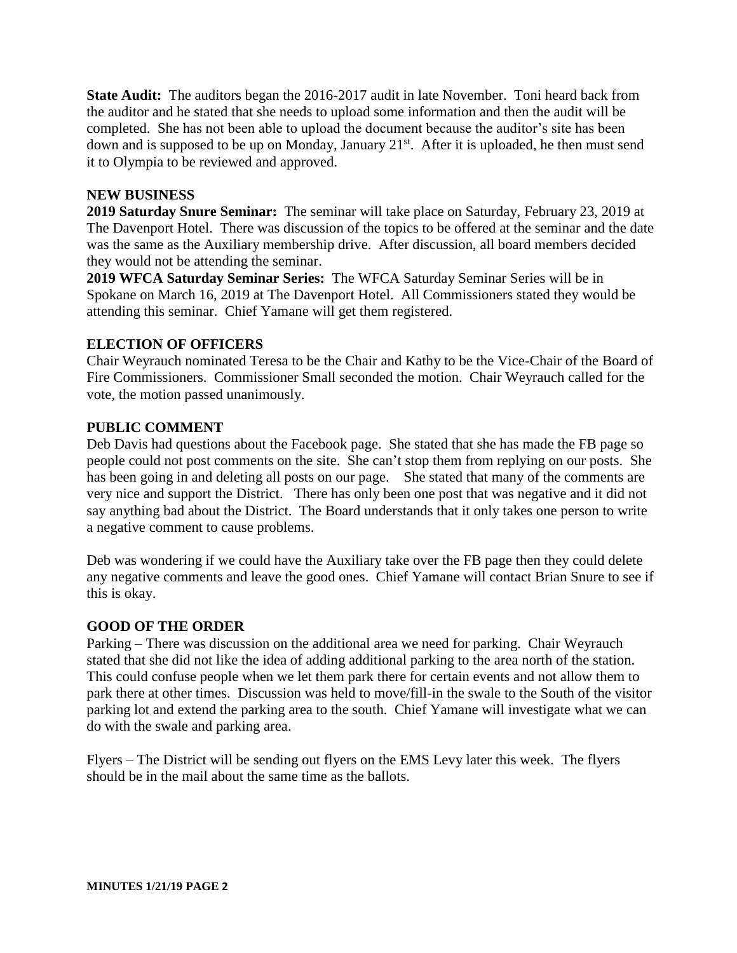**State Audit:** The auditors began the 2016-2017 audit in late November. Toni heard back from the auditor and he stated that she needs to upload some information and then the audit will be completed. She has not been able to upload the document because the auditor's site has been down and is supposed to be up on Monday, January 21<sup>st</sup>. After it is uploaded, he then must send it to Olympia to be reviewed and approved.

#### **NEW BUSINESS**

**2019 Saturday Snure Seminar:** The seminar will take place on Saturday, February 23, 2019 at The Davenport Hotel. There was discussion of the topics to be offered at the seminar and the date was the same as the Auxiliary membership drive. After discussion, all board members decided they would not be attending the seminar.

**2019 WFCA Saturday Seminar Series:** The WFCA Saturday Seminar Series will be in Spokane on March 16, 2019 at The Davenport Hotel. All Commissioners stated they would be attending this seminar. Chief Yamane will get them registered.

#### **ELECTION OF OFFICERS**

Chair Weyrauch nominated Teresa to be the Chair and Kathy to be the Vice-Chair of the Board of Fire Commissioners. Commissioner Small seconded the motion. Chair Weyrauch called for the vote, the motion passed unanimously.

#### **PUBLIC COMMENT**

Deb Davis had questions about the Facebook page. She stated that she has made the FB page so people could not post comments on the site. She can't stop them from replying on our posts. She has been going in and deleting all posts on our page. She stated that many of the comments are very nice and support the District. There has only been one post that was negative and it did not say anything bad about the District. The Board understands that it only takes one person to write a negative comment to cause problems.

Deb was wondering if we could have the Auxiliary take over the FB page then they could delete any negative comments and leave the good ones. Chief Yamane will contact Brian Snure to see if this is okay.

#### **GOOD OF THE ORDER**

Parking – There was discussion on the additional area we need for parking. Chair Weyrauch stated that she did not like the idea of adding additional parking to the area north of the station. This could confuse people when we let them park there for certain events and not allow them to park there at other times. Discussion was held to move/fill-in the swale to the South of the visitor parking lot and extend the parking area to the south. Chief Yamane will investigate what we can do with the swale and parking area.

Flyers – The District will be sending out flyers on the EMS Levy later this week. The flyers should be in the mail about the same time as the ballots.